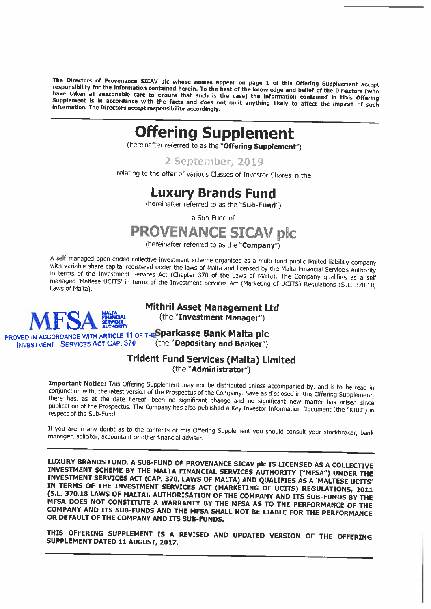The Directors of Provenance SICAV plc whose names appear on page 1 of this Offering Supplement accept<br>responsibility for the information contained herein. To the best of the knowledge and belief of the Directors (who<br>have

### Offering Supplement

(hereinafter referred to as the "Offering Supplement")

<sup>2</sup> September, 2019

relating to the offer of various Classes of Investor Shares in the

### Luxury Brands Fund

(hereinafter referred to as the "Sub-Fund")

<sup>a</sup> Suo-Fund of

### PROVENANCE SICAV plc

(hereinafter referred to as the "Company")

A self managed open-ended collective investment scheme organised as a multi-fund public limited liability company<br>with variable share capital registered under the laws of Malta and licensed by the Malta Financial Services

# Mithril Asset Management Ltd (the "Investment Manager")



INVESTMENT SERVICES ACT CAP. 370

# PROVED IN ACCORDANCE WITH ARTICLE 11 OF THESPARKASSE Bank Malta plc

### Trident Fund Services (Malta) Limited (the "Administrator")

**Important Notice:** This Offering Supplement may not be distributed unless accompanied by, and is to be read in conjunction with, the latest version of the Prospectus of the Company. Save as disclosed in this Offering Supp

If you are in any doubt as to the contents of this Offering Supplement you should consult your stockbroker, bank manager, solicitor, accountant or other financial adviser.

LUXURY BRANDS FUND, A SUB-FUND OF PROVENANCE SICAV plc IS LICENSED AS A COLLECTIVE<br>INVESTMENT SCHEME BY THE MALTA FINANCIAL SERVICES AUTHORITY ("MFSA") UNDER THE<br>INVESTMENT SERVICES ACT (CAP. 370, LAWS OF MALTA) AND QUALIF

THIS OFFERING SUPPLEMENT IS <sup>A</sup> REVISED AND UPDATED VERSION OF THE OFFERING SUPPLEMENT DATED <sup>11</sup> AUGUST, 2017.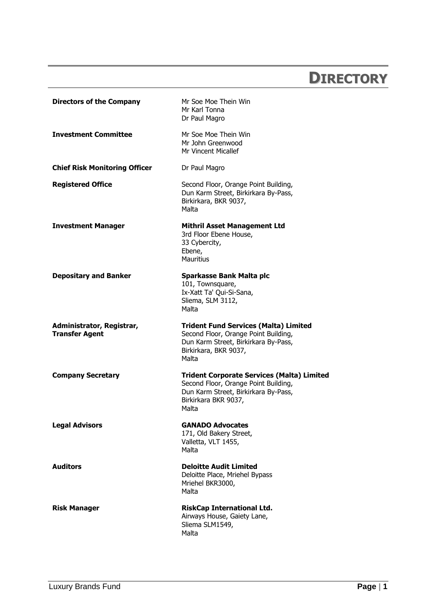### **DIRECTORY**

<span id="page-1-0"></span>

| <b>Trident Fund Services (Malta) Limited</b>      |
|---------------------------------------------------|
| <b>Trident Corporate Services (Malta) Limited</b> |
|                                                   |
|                                                   |
|                                                   |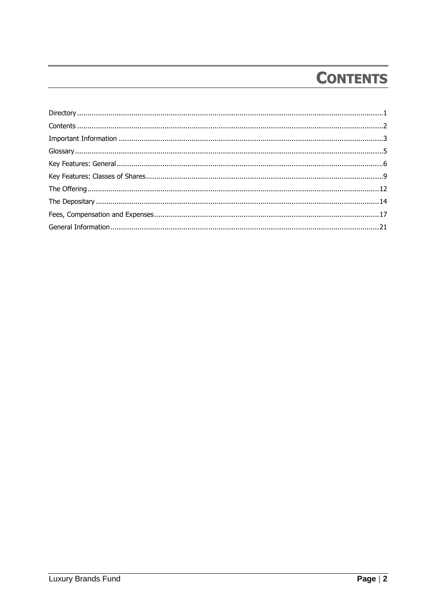# **CONTENTS**

<span id="page-2-0"></span>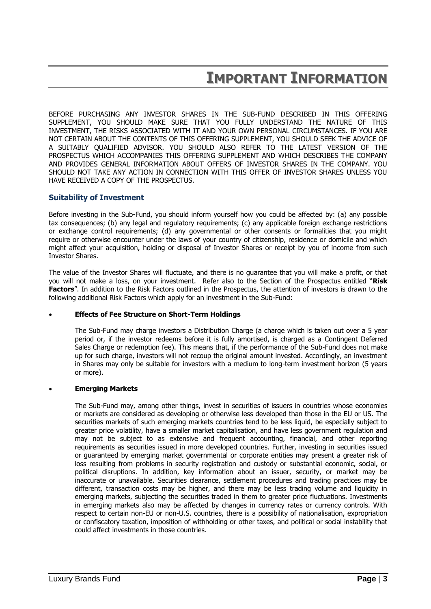### **IMPORTANT INFORMATION**

<span id="page-3-0"></span>BEFORE PURCHASING ANY INVESTOR SHARES IN THE SUB-FUND DESCRIBED IN THIS OFFERING SUPPLEMENT, YOU SHOULD MAKE SURE THAT YOU FULLY UNDERSTAND THE NATURE OF THIS INVESTMENT, THE RISKS ASSOCIATED WITH IT AND YOUR OWN PERSONAL CIRCUMSTANCES. IF YOU ARE NOT CERTAIN ABOUT THE CONTENTS OF THIS OFFERING SUPPLEMENT, YOU SHOULD SEEK THE ADVICE OF A SUITABLY QUALIFIED ADVISOR. YOU SHOULD ALSO REFER TO THE LATEST VERSION OF THE PROSPECTUS WHICH ACCOMPANIES THIS OFFERING SUPPLEMENT AND WHICH DESCRIBES THE COMPANY AND PROVIDES GENERAL INFORMATION ABOUT OFFERS OF INVESTOR SHARES IN THE COMPANY. YOU SHOULD NOT TAKE ANY ACTION IN CONNECTION WITH THIS OFFER OF INVESTOR SHARES UNLESS YOU HAVE RECEIVED A COPY OF THE PROSPECTUS.

### **Suitability of Investment**

Before investing in the Sub-Fund, you should inform yourself how you could be affected by: (a) any possible tax consequences; (b) any legal and regulatory requirements; (c) any applicable foreign exchange restrictions or exchange control requirements; (d) any governmental or other consents or formalities that you might require or otherwise encounter under the laws of your country of citizenship, residence or domicile and which might affect your acquisition, holding or disposal of Investor Shares or receipt by you of income from such Investor Shares.

The value of the Investor Shares will fluctuate, and there is no guarantee that you will make a profit, or that you will not make a loss, on your investment. Refer also to the Section of the Prospectus entitled "**Risk Factors**". In addition to the Risk Factors outlined in the Prospectus, the attention of investors is drawn to the following additional Risk Factors which apply for an investment in the Sub-Fund:

### **Effects of Fee Structure on Short-Term Holdings**

The Sub-Fund may charge investors a Distribution Charge (a charge which is taken out over a 5 year period or, if the investor redeems before it is fully amortised, is charged as a Contingent Deferred Sales Charge or redemption fee). This means that, if the performance of the Sub-Fund does not make up for such charge, investors will not recoup the original amount invested. Accordingly, an investment in Shares may only be suitable for investors with a medium to long-term investment horizon (5 years or more).

### **Emerging Markets**

The Sub-Fund may, among other things, invest in securities of issuers in countries whose economies or markets are considered as developing or otherwise less developed than those in the EU or US. The securities markets of such emerging markets countries tend to be less liquid, be especially subject to greater price volatility, have a smaller market capitalisation, and have less government regulation and may not be subject to as extensive and frequent accounting, financial, and other reporting requirements as securities issued in more developed countries. Further, investing in securities issued or guaranteed by emerging market governmental or corporate entities may present a greater risk of loss resulting from problems in security registration and custody or substantial economic, social, or political disruptions. In addition, key information about an issuer, security, or market may be inaccurate or unavailable. Securities clearance, settlement procedures and trading practices may be different, transaction costs may be higher, and there may be less trading volume and liquidity in emerging markets, subjecting the securities traded in them to greater price fluctuations. Investments in emerging markets also may be affected by changes in currency rates or currency controls. With respect to certain non-EU or non-U.S. countries, there is a possibility of nationalisation, expropriation or confiscatory taxation, imposition of withholding or other taxes, and political or social instability that could affect investments in those countries.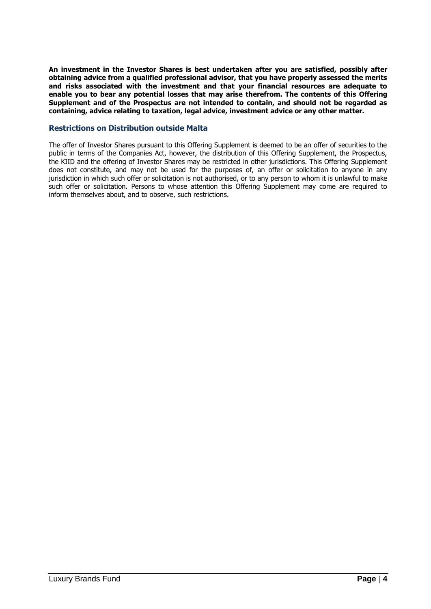**An investment in the Investor Shares is best undertaken after you are satisfied, possibly after obtaining advice from a qualified professional advisor, that you have properly assessed the merits and risks associated with the investment and that your financial resources are adequate to enable you to bear any potential losses that may arise therefrom. The contents of this Offering Supplement and of the Prospectus are not intended to contain, and should not be regarded as containing, advice relating to taxation, legal advice, investment advice or any other matter.**

### **Restrictions on Distribution outside Malta**

The offer of Investor Shares pursuant to this Offering Supplement is deemed to be an offer of securities to the public in terms of the Companies Act, however, the distribution of this Offering Supplement, the Prospectus, the KIID and the offering of Investor Shares may be restricted in other jurisdictions. This Offering Supplement does not constitute, and may not be used for the purposes of, an offer or solicitation to anyone in any jurisdiction in which such offer or solicitation is not authorised, or to any person to whom it is unlawful to make such offer or solicitation. Persons to whose attention this Offering Supplement may come are required to inform themselves about, and to observe, such restrictions.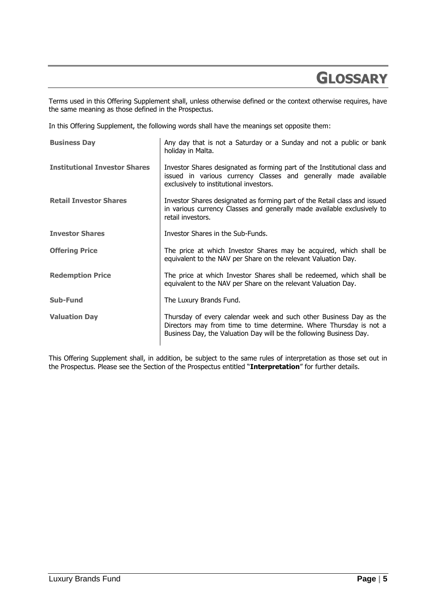### <span id="page-5-0"></span>**GLOSSARY**

Terms used in this Offering Supplement shall, unless otherwise defined or the context otherwise requires, have the same meaning as those defined in the Prospectus.

In this Offering Supplement, the following words shall have the meanings set opposite them:

| <b>Business Day</b>                  | Any day that is not a Saturday or a Sunday and not a public or bank<br>holiday in Malta.                                                                                                                        |
|--------------------------------------|-----------------------------------------------------------------------------------------------------------------------------------------------------------------------------------------------------------------|
| <b>Institutional Investor Shares</b> | Investor Shares designated as forming part of the Institutional class and<br>issued in various currency Classes and generally made available<br>exclusively to institutional investors.                         |
| <b>Retail Investor Shares</b>        | Investor Shares designated as forming part of the Retail class and issued<br>in various currency Classes and generally made available exclusively to<br>retail investors.                                       |
| <b>Investor Shares</b>               | Investor Shares in the Sub-Funds.                                                                                                                                                                               |
| <b>Offering Price</b>                | The price at which Investor Shares may be acquired, which shall be<br>equivalent to the NAV per Share on the relevant Valuation Day.                                                                            |
| <b>Redemption Price</b>              | The price at which Investor Shares shall be redeemed, which shall be<br>equivalent to the NAV per Share on the relevant Valuation Day.                                                                          |
| <b>Sub-Fund</b>                      | The Luxury Brands Fund.                                                                                                                                                                                         |
| <b>Valuation Day</b>                 | Thursday of every calendar week and such other Business Day as the<br>Directors may from time to time determine. Where Thursday is not a<br>Business Day, the Valuation Day will be the following Business Day. |

This Offering Supplement shall, in addition, be subject to the same rules of interpretation as those set out in the Prospectus. Please see the Section of the Prospectus entitled "**Interpretation**" for further details.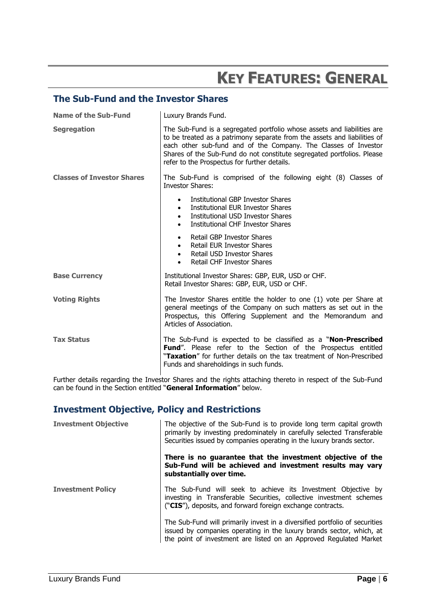## **KEY FEATURES: GENERAL**

### <span id="page-6-0"></span>**The Sub-Fund and the Investor Shares**

| Name of the Sub-Fund              | Luxury Brands Fund.                                                                                                                                                                                                                                                                                                                              |
|-----------------------------------|--------------------------------------------------------------------------------------------------------------------------------------------------------------------------------------------------------------------------------------------------------------------------------------------------------------------------------------------------|
| <b>Segregation</b>                | The Sub-Fund is a segregated portfolio whose assets and liabilities are<br>to be treated as a patrimony separate from the assets and liabilities of<br>each other sub-fund and of the Company. The Classes of Investor<br>Shares of the Sub-Fund do not constitute segregated portfolios. Please<br>refer to the Prospectus for further details. |
| <b>Classes of Investor Shares</b> | The Sub-Fund is comprised of the following eight (8) Classes of<br><b>Investor Shares:</b>                                                                                                                                                                                                                                                       |
|                                   | Institutional GBP Investor Shares<br>$\bullet$<br>Institutional EUR Investor Shares<br>$\bullet$<br>Institutional USD Investor Shares<br>$\bullet$<br>Institutional CHF Investor Shares<br>$\bullet$                                                                                                                                             |
|                                   | Retail GBP Investor Shares<br>٠<br>Retail EUR Investor Shares<br>$\bullet$<br>Retail USD Investor Shares<br>$\bullet$<br>Retail CHF Investor Shares<br>$\bullet$                                                                                                                                                                                 |
| <b>Base Currency</b>              | Institutional Investor Shares: GBP, EUR, USD or CHF.<br>Retail Investor Shares: GBP, EUR, USD or CHF.                                                                                                                                                                                                                                            |
| <b>Voting Rights</b>              | The Investor Shares entitle the holder to one (1) vote per Share at<br>general meetings of the Company on such matters as set out in the<br>Prospectus, this Offering Supplement and the Memorandum and<br>Articles of Association.                                                                                                              |
| <b>Tax Status</b>                 | The Sub-Fund is expected to be classified as a "Non-Prescribed<br>Fund". Please refer to the Section of the Prospectus entitled<br>"Taxation" for further details on the tax treatment of Non-Prescribed<br>Funds and shareholdings in such funds.                                                                                               |

Further details regarding the Investor Shares and the rights attaching thereto in respect of the Sub-Fund can be found in the Section entitled "**General Information**" below.

### **Investment Objective, Policy and Restrictions**

| <b>Investment Objective</b> | The objective of the Sub-Fund is to provide long term capital growth<br>primarily by investing predominately in carefully selected Transferable<br>Securities issued by companies operating in the luxury brands sector.  |
|-----------------------------|---------------------------------------------------------------------------------------------------------------------------------------------------------------------------------------------------------------------------|
|                             | There is no guarantee that the investment objective of the<br>Sub-Fund will be achieved and investment results may vary<br>substantially over time.                                                                       |
| <b>Investment Policy</b>    | The Sub-Fund will seek to achieve its Investment Objective by<br>investing in Transferable Securities, collective investment schemes<br>("CIS"), deposits, and forward foreign exchange contracts.                        |
|                             | The Sub-Fund will primarily invest in a diversified portfolio of securities<br>issued by companies operating in the luxury brands sector, which, at<br>the point of investment are listed on an Approved Regulated Market |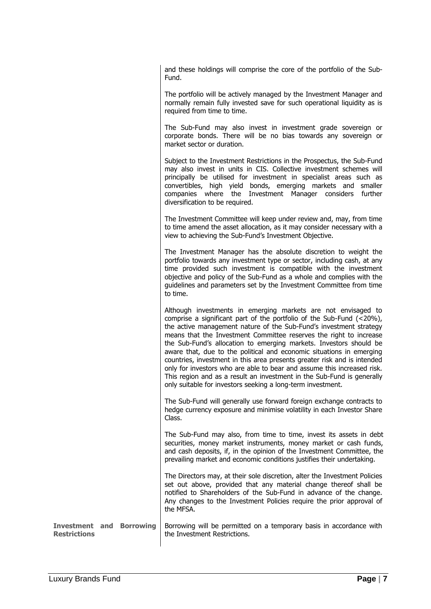and these holdings will comprise the core of the portfolio of the Sub-Fund.

The portfolio will be actively managed by the Investment Manager and normally remain fully invested save for such operational liquidity as is required from time to time.

The Sub-Fund may also invest in investment grade sovereign or corporate bonds. There will be no bias towards any sovereign or market sector or duration.

Subject to the Investment Restrictions in the Prospectus, the Sub-Fund may also invest in units in CIS. Collective investment schemes will principally be utilised for investment in specialist areas such as convertibles, high yield bonds, emerging markets and smaller companies where the Investment Manager considers further diversification to be required.

The Investment Committee will keep under review and, may, from time to time amend the asset allocation, as it may consider necessary with a view to achieving the Sub-Fund's Investment Objective.

The Investment Manager has the absolute discretion to weight the portfolio towards any investment type or sector, including cash, at any time provided such investment is compatible with the investment objective and policy of the Sub-Fund as a whole and complies with the guidelines and parameters set by the Investment Committee from time to time.

Although investments in emerging markets are not envisaged to comprise a significant part of the portfolio of the Sub-Fund (<20%), the active management nature of the Sub-Fund's investment strategy means that the Investment Committee reserves the right to increase the Sub-Fund's allocation to emerging markets. Investors should be aware that, due to the political and economic situations in emerging countries, investment in this area presents greater risk and is intended only for investors who are able to bear and assume this increased risk. This region and as a result an investment in the Sub-Fund is generally only suitable for investors seeking a long-term investment.

The Sub-Fund will generally use forward foreign exchange contracts to hedge currency exposure and minimise volatility in each Investor Share Class.

The Sub-Fund may also, from time to time, invest its assets in debt securities, money market instruments, money market or cash funds, and cash deposits, if, in the opinion of the Investment Committee, the prevailing market and economic conditions justifies their undertaking.

The Directors may, at their sole discretion, alter the Investment Policies set out above, provided that any material change thereof shall be notified to Shareholders of the Sub-Fund in advance of the change. Any changes to the Investment Policies require the prior approval of the MFSA.

**Investment and Borrowing Restrictions** Borrowing will be permitted on a temporary basis in accordance with the Investment Restrictions.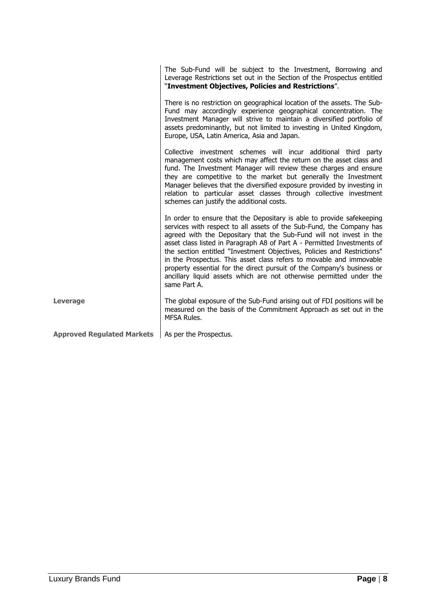|                                                     | The Sub-Fund will be subject to the Investment, Borrowing and<br>Leverage Restrictions set out in the Section of the Prospectus entitled<br>"Investment Objectives, Policies and Restrictions".                                                                                                                                                                                                                                                                                                                                                                                                                    |
|-----------------------------------------------------|--------------------------------------------------------------------------------------------------------------------------------------------------------------------------------------------------------------------------------------------------------------------------------------------------------------------------------------------------------------------------------------------------------------------------------------------------------------------------------------------------------------------------------------------------------------------------------------------------------------------|
|                                                     | There is no restriction on geographical location of the assets. The Sub-<br>Fund may accordingly experience geographical concentration. The<br>Investment Manager will strive to maintain a diversified portfolio of<br>assets predominantly, but not limited to investing in United Kingdom,<br>Europe, USA, Latin America, Asia and Japan.                                                                                                                                                                                                                                                                       |
|                                                     | Collective investment schemes will incur additional third party<br>management costs which may affect the return on the asset class and<br>fund. The Investment Manager will review these charges and ensure<br>they are competitive to the market but generally the Investment<br>Manager believes that the diversified exposure provided by investing in<br>relation to particular asset classes through collective investment<br>schemes can justify the additional costs.                                                                                                                                       |
|                                                     | In order to ensure that the Depositary is able to provide safekeeping<br>services with respect to all assets of the Sub-Fund, the Company has<br>agreed with the Depositary that the Sub-Fund will not invest in the<br>asset class listed in Paragraph A8 of Part A - Permitted Investments of<br>the section entitled "Investment Objectives, Policies and Restrictions"<br>in the Prospectus. This asset class refers to movable and immovable<br>property essential for the direct pursuit of the Company's business or<br>ancillary liquid assets which are not otherwise permitted under the<br>same Part A. |
| <b>Leverage</b>                                     | The global exposure of the Sub-Fund arising out of FDI positions will be<br>measured on the basis of the Commitment Approach as set out in the<br>MFSA Rules.                                                                                                                                                                                                                                                                                                                                                                                                                                                      |
| Approved Regulated Markets   As per the Prospectus. |                                                                                                                                                                                                                                                                                                                                                                                                                                                                                                                                                                                                                    |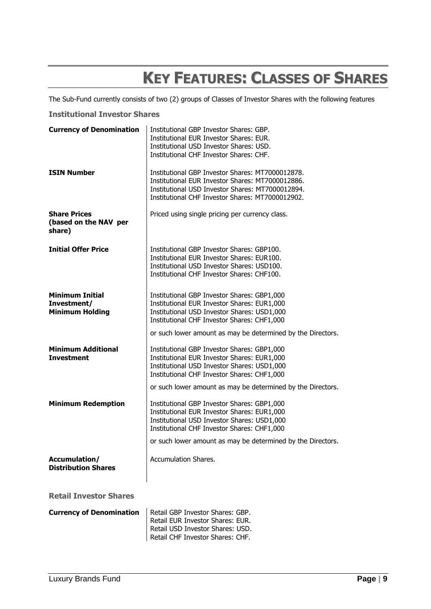## **KEY FEATURES: CLASSES OF SHARES**

<span id="page-9-0"></span>The Sub-Fund currently consists of two (2) groups of Classes of Investor Shares with the following features

### **Institutional Investor Shares**

| <b>Currency of Denomination</b>                                 | Institutional GBP Investor Shares: GBP.<br>Institutional EUR Investor Shares: EUR.<br>Institutional USD Investor Shares: USD.<br>Institutional CHF Investor Shares: CHF.                                                                                |
|-----------------------------------------------------------------|---------------------------------------------------------------------------------------------------------------------------------------------------------------------------------------------------------------------------------------------------------|
| <b>ISIN Number</b>                                              | Institutional GBP Investor Shares: MT7000012878.<br>Institutional EUR Investor Shares: MT7000012886.<br>Institutional USD Investor Shares: MT7000012894.<br>Institutional CHF Investor Shares: MT7000012902.                                            |
| <b>Share Prices</b><br>(based on the NAV per<br>share)          | Priced using single pricing per currency class.                                                                                                                                                                                                         |
| <b>Initial Offer Price</b>                                      | Institutional GBP Investor Shares: GBP100.<br>Institutional EUR Investor Shares: EUR100.<br>Institutional USD Investor Shares: USD100.<br>Institutional CHF Investor Shares: CHF100.                                                                    |
| <b>Minimum Initial</b><br>Investment/<br><b>Minimum Holding</b> | Institutional GBP Investor Shares: GBP1,000<br>Institutional EUR Investor Shares: EUR1,000<br>Institutional USD Investor Shares: USD1,000<br>Institutional CHF Investor Shares: CHF1,000<br>or such lower amount as may be determined by the Directors. |
| <b>Minimum Additional</b><br><b>Investment</b>                  | Institutional GBP Investor Shares: GBP1,000<br>Institutional EUR Investor Shares: EUR1,000<br>Institutional USD Investor Shares: USD1,000<br>Institutional CHF Investor Shares: CHF1,000<br>or such lower amount as may be determined by the Directors. |
| <b>Minimum Redemption</b>                                       | Institutional GBP Investor Shares: GBP1,000<br>Institutional EUR Investor Shares: EUR1,000<br>Institutional USD Investor Shares: USD1,000<br>Institutional CHF Investor Shares: CHF1,000                                                                |
| Accumulation/<br><b>Distribution Shares</b>                     | or such lower amount as may be determined by the Directors.<br><b>Accumulation Shares.</b>                                                                                                                                                              |
| <b>Retail Investor Shares</b>                                   |                                                                                                                                                                                                                                                         |
| <b>Currency of Denomination</b>                                 | Retail GBP Investor Shares: GBP.<br>Retail EUR Investor Shares: EUR.<br>Retail USD Investor Shares: USD.<br>Retail CHF Investor Shares: CHF.                                                                                                            |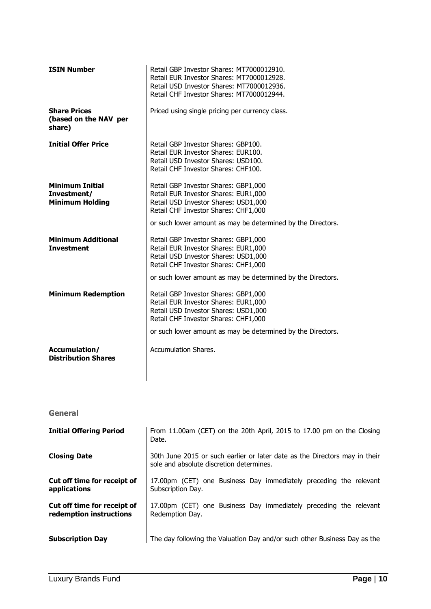| <b>ISIN Number</b>                                              | Retail GBP Investor Shares: MT7000012910.<br>Retail EUR Investor Shares: MT7000012928.<br>Retail USD Investor Shares: MT7000012936.<br>Retail CHF Investor Shares: MT7000012944.                                            |
|-----------------------------------------------------------------|-----------------------------------------------------------------------------------------------------------------------------------------------------------------------------------------------------------------------------|
| <b>Share Prices</b><br>(based on the NAV per<br>share)          | Priced using single pricing per currency class.                                                                                                                                                                             |
| <b>Initial Offer Price</b>                                      | Retail GBP Investor Shares: GBP100.<br>Retail EUR Investor Shares: EUR100.<br>Retail USD Investor Shares: USD100.<br>Retail CHF Investor Shares: CHF100.                                                                    |
| <b>Minimum Initial</b><br>Investment/<br><b>Minimum Holding</b> | Retail GBP Investor Shares: GBP1,000<br>Retail EUR Investor Shares: EUR1,000<br>Retail USD Investor Shares: USD1,000<br>Retail CHF Investor Shares: CHF1,000<br>or such lower amount as may be determined by the Directors. |
| <b>Minimum Additional</b><br><b>Investment</b>                  | Retail GBP Investor Shares: GBP1,000<br>Retail EUR Investor Shares: EUR1,000<br>Retail USD Investor Shares: USD1,000<br>Retail CHF Investor Shares: CHF1,000<br>or such lower amount as may be determined by the Directors. |
| <b>Minimum Redemption</b>                                       | Retail GBP Investor Shares: GBP1,000<br>Retail EUR Investor Shares: EUR1,000<br>Retail USD Investor Shares: USD1,000<br>Retail CHF Investor Shares: CHF1,000<br>or such lower amount as may be determined by the Directors. |
| Accumulation/<br><b>Distribution Shares</b>                     | Accumulation Shares.                                                                                                                                                                                                        |

**General**

| <b>Initial Offering Period</b>                         | From 11.00am (CET) on the 20th April, 2015 to 17.00 pm on the Closing<br>Date.                                         |
|--------------------------------------------------------|------------------------------------------------------------------------------------------------------------------------|
| <b>Closing Date</b>                                    | 30th June 2015 or such earlier or later date as the Directors may in their<br>sole and absolute discretion determines. |
| Cut off time for receipt of<br>applications            | 17.00pm (CET) one Business Day immediately preceding the relevant<br>Subscription Day.                                 |
| Cut off time for receipt of<br>redemption instructions | 17.00pm (CET) one Business Day immediately preceding the relevant<br>Redemption Day.                                   |
| <b>Subscription Day</b>                                | The day following the Valuation Day and/or such other Business Day as the                                              |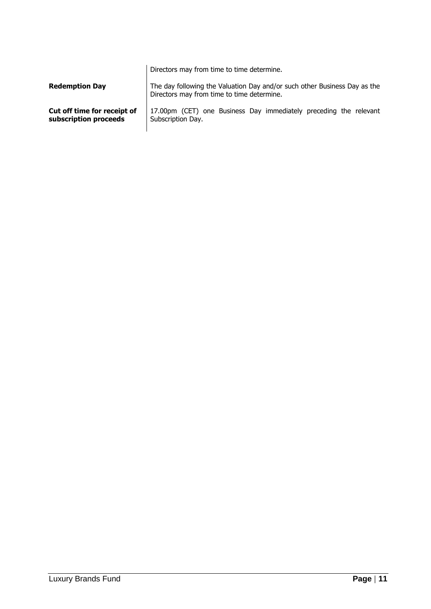| <b>Redemption Day</b>       | Directors may from time to time determine.<br>The day following the Valuation Day and/or such other Business Day as the<br>Directors may from time to time determine. |
|-----------------------------|-----------------------------------------------------------------------------------------------------------------------------------------------------------------------|
| Cut off time for receipt of | 17.00pm (CET) one Business Day immediately preceding the relevant                                                                                                     |
| subscription proceeds       | Subscription Day.                                                                                                                                                     |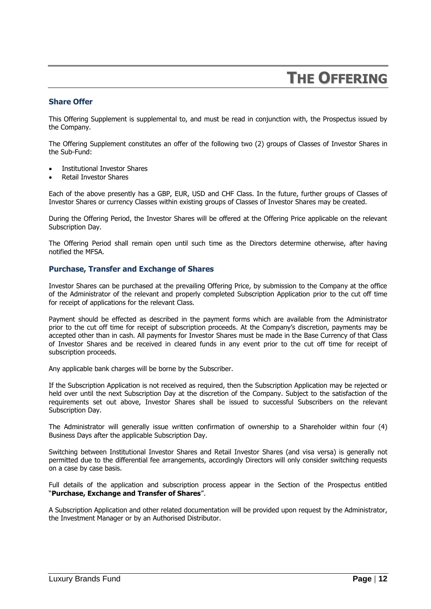### **THE OFFERING**

### <span id="page-12-0"></span>**Share Offer**

This Offering Supplement is supplemental to, and must be read in conjunction with, the Prospectus issued by the Company.

The Offering Supplement constitutes an offer of the following two (2) groups of Classes of Investor Shares in the Sub-Fund:

- Institutional Investor Shares
- Retail Investor Shares

Each of the above presently has a GBP, EUR, USD and CHF Class. In the future, further groups of Classes of Investor Shares or currency Classes within existing groups of Classes of Investor Shares may be created.

During the Offering Period, the Investor Shares will be offered at the Offering Price applicable on the relevant Subscription Day.

The Offering Period shall remain open until such time as the Directors determine otherwise, after having notified the MFSA.

### **Purchase, Transfer and Exchange of Shares**

Investor Shares can be purchased at the prevailing Offering Price, by submission to the Company at the office of the Administrator of the relevant and properly completed Subscription Application prior to the cut off time for receipt of applications for the relevant Class.

Payment should be effected as described in the payment forms which are available from the Administrator prior to the cut off time for receipt of subscription proceeds. At the Company's discretion, payments may be accepted other than in cash. All payments for Investor Shares must be made in the Base Currency of that Class of Investor Shares and be received in cleared funds in any event prior to the cut off time for receipt of subscription proceeds.

Any applicable bank charges will be borne by the Subscriber.

If the Subscription Application is not received as required, then the Subscription Application may be rejected or held over until the next Subscription Day at the discretion of the Company. Subject to the satisfaction of the requirements set out above, Investor Shares shall be issued to successful Subscribers on the relevant Subscription Day.

The Administrator will generally issue written confirmation of ownership to a Shareholder within four (4) Business Days after the applicable Subscription Day.

Switching between Institutional Investor Shares and Retail Investor Shares (and visa versa) is generally not permitted due to the differential fee arrangements, accordingly Directors will only consider switching requests on a case by case basis.

Full details of the application and subscription process appear in the Section of the Prospectus entitled "**Purchase, Exchange and Transfer of Shares**".

A Subscription Application and other related documentation will be provided upon request by the Administrator, the Investment Manager or by an Authorised Distributor.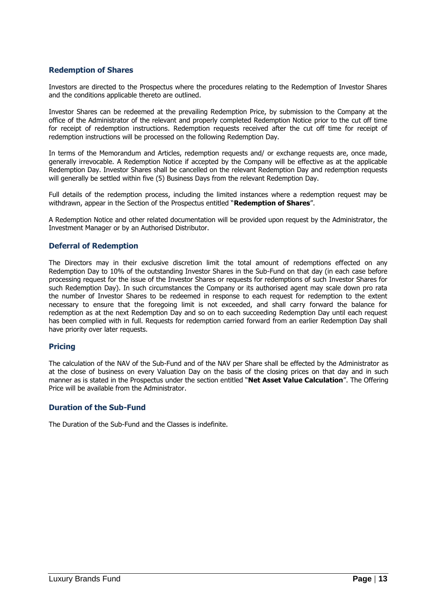### **Redemption of Shares**

Investors are directed to the Prospectus where the procedures relating to the Redemption of Investor Shares and the conditions applicable thereto are outlined.

Investor Shares can be redeemed at the prevailing Redemption Price, by submission to the Company at the office of the Administrator of the relevant and properly completed Redemption Notice prior to the cut off time for receipt of redemption instructions. Redemption requests received after the cut off time for receipt of redemption instructions will be processed on the following Redemption Day.

In terms of the Memorandum and Articles, redemption requests and/ or exchange requests are, once made, generally irrevocable. A Redemption Notice if accepted by the Company will be effective as at the applicable Redemption Day. Investor Shares shall be cancelled on the relevant Redemption Day and redemption requests will generally be settled within five (5) Business Days from the relevant Redemption Day.

Full details of the redemption process, including the limited instances where a redemption request may be withdrawn, appear in the Section of the Prospectus entitled "**Redemption of Shares**".

A Redemption Notice and other related documentation will be provided upon request by the Administrator, the Investment Manager or by an Authorised Distributor.

### **Deferral of Redemption**

The Directors may in their exclusive discretion limit the total amount of redemptions effected on any Redemption Day to 10% of the outstanding Investor Shares in the Sub-Fund on that day (in each case before processing request for the issue of the Investor Shares or requests for redemptions of such Investor Shares for such Redemption Day). In such circumstances the Company or its authorised agent may scale down pro rata the number of Investor Shares to be redeemed in response to each request for redemption to the extent necessary to ensure that the foregoing limit is not exceeded, and shall carry forward the balance for redemption as at the next Redemption Day and so on to each succeeding Redemption Day until each request has been complied with in full. Requests for redemption carried forward from an earlier Redemption Day shall have priority over later requests.

### **Pricing**

The calculation of the NAV of the Sub-Fund and of the NAV per Share shall be effected by the Administrator as at the close of business on every Valuation Day on the basis of the closing prices on that day and in such manner as is stated in the Prospectus under the section entitled "**Net Asset Value Calculation**". The Offering Price will be available from the Administrator.

### **Duration of the Sub-Fund**

The Duration of the Sub-Fund and the Classes is indefinite.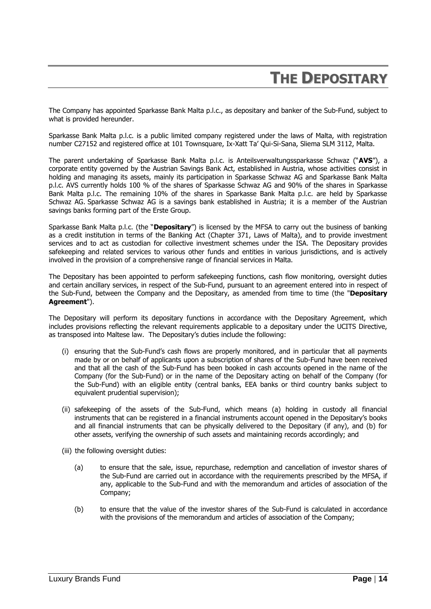### **THE DEPOSITARY**

<span id="page-14-0"></span>The Company has appointed Sparkasse Bank Malta p.l.c., as depositary and banker of the Sub-Fund, subject to what is provided hereunder.

Sparkasse Bank Malta p.l.c. is a public limited company registered under the laws of Malta, with registration number C27152 and registered office at 101 Townsquare, Ix-Xatt Ta' Qui-Si-Sana, Sliema SLM 3112, Malta.

The parent undertaking of Sparkasse Bank Malta p.l.c. is Anteilsverwaltungssparkasse Schwaz ("**AVS**"), a corporate entity governed by the Austrian Savings Bank Act, established in Austria, whose activities consist in holding and managing its assets, mainly its participation in Sparkasse Schwaz AG and Sparkasse Bank Malta p.l.c. AVS currently holds 100 % of the shares of Sparkasse Schwaz AG and 90% of the shares in Sparkasse Bank Malta p.l.c. The remaining 10% of the shares in Sparkasse Bank Malta p.l.c. are held by Sparkasse Schwaz AG. Sparkasse Schwaz AG is a savings bank established in Austria; it is a member of the Austrian savings banks forming part of the Erste Group.

Sparkasse Bank Malta p.l.c. (the "**Depositary**") is licensed by the MFSA to carry out the business of banking as a credit institution in terms of the Banking Act (Chapter 371, Laws of Malta), and to provide investment services and to act as custodian for collective investment schemes under the ISA. The Depositary provides safekeeping and related services to various other funds and entities in various jurisdictions, and is actively involved in the provision of a comprehensive range of financial services in Malta.

The Depositary has been appointed to perform safekeeping functions, cash flow monitoring, oversight duties and certain ancillary services, in respect of the Sub-Fund, pursuant to an agreement entered into in respect of the Sub-Fund, between the Company and the Depositary, as amended from time to time (the "**Depositary Agreement**").

The Depositary will perform its depositary functions in accordance with the Depositary Agreement, which includes provisions reflecting the relevant requirements applicable to a depositary under the UCITS Directive, as transposed into Maltese law. The Depositary's duties include the following:

- (i) ensuring that the Sub-Fund's cash flows are properly monitored, and in particular that all payments made by or on behalf of applicants upon a subscription of shares of the Sub-Fund have been received and that all the cash of the Sub-Fund has been booked in cash accounts opened in the name of the Company (for the Sub-Fund) or in the name of the Depositary acting on behalf of the Company (for the Sub-Fund) with an eligible entity (central banks, EEA banks or third country banks subject to equivalent prudential supervision);
- (ii) safekeeping of the assets of the Sub-Fund, which means (a) holding in custody all financial instruments that can be registered in a financial instruments account opened in the Depositary's books and all financial instruments that can be physically delivered to the Depositary (if any), and (b) for other assets, verifying the ownership of such assets and maintaining records accordingly; and
- (iii) the following oversight duties:
	- (a) to ensure that the sale, issue, repurchase, redemption and cancellation of investor shares of the Sub-Fund are carried out in accordance with the requirements prescribed by the MFSA, if any, applicable to the Sub-Fund and with the memorandum and articles of association of the Company;
	- (b) to ensure that the value of the investor shares of the Sub-Fund is calculated in accordance with the provisions of the memorandum and articles of association of the Company;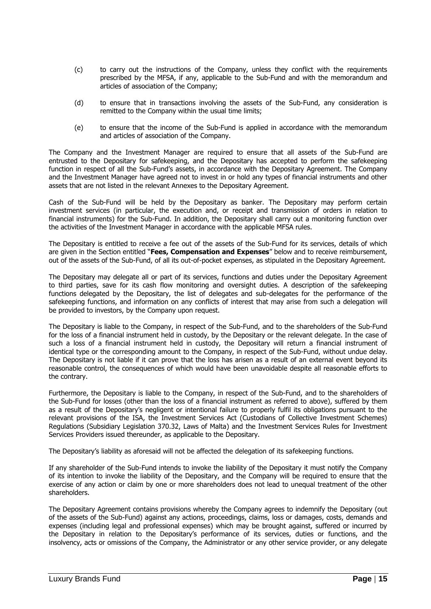- (c) to carry out the instructions of the Company, unless they conflict with the requirements prescribed by the MFSA, if any, applicable to the Sub-Fund and with the memorandum and articles of association of the Company;
- (d) to ensure that in transactions involving the assets of the Sub-Fund, any consideration is remitted to the Company within the usual time limits;
- (e) to ensure that the income of the Sub-Fund is applied in accordance with the memorandum and articles of association of the Company.

The Company and the Investment Manager are required to ensure that all assets of the Sub-Fund are entrusted to the Depositary for safekeeping, and the Depositary has accepted to perform the safekeeping function in respect of all the Sub-Fund's assets, in accordance with the Depositary Agreement. The Company and the Investment Manager have agreed not to invest in or hold any types of financial instruments and other assets that are not listed in the relevant Annexes to the Depositary Agreement.

Cash of the Sub-Fund will be held by the Depositary as banker. The Depositary may perform certain investment services (in particular, the execution and, or receipt and transmission of orders in relation to financial instruments) for the Sub-Fund. In addition, the Depositary shall carry out a monitoring function over the activities of the Investment Manager in accordance with the applicable MFSA rules.

The Depositary is entitled to receive a fee out of the assets of the Sub-Fund for its services, details of which are given in the Section entitled "**Fees, Compensation and Expenses**" below and to receive reimbursement, out of the assets of the Sub-Fund, of all its out-of-pocket expenses, as stipulated in the Depositary Agreement.

The Depositary may delegate all or part of its services, functions and duties under the Depositary Agreement to third parties, save for its cash flow monitoring and oversight duties. A description of the safekeeping functions delegated by the Depositary, the list of delegates and sub-delegates for the performance of the safekeeping functions, and information on any conflicts of interest that may arise from such a delegation will be provided to investors, by the Company upon request.

The Depositary is liable to the Company, in respect of the Sub-Fund, and to the shareholders of the Sub-Fund for the loss of a financial instrument held in custody, by the Depositary or the relevant delegate. In the case of such a loss of a financial instrument held in custody, the Depositary will return a financial instrument of identical type or the corresponding amount to the Company, in respect of the Sub-Fund, without undue delay. The Depositary is not liable if it can prove that the loss has arisen as a result of an external event beyond its reasonable control, the consequences of which would have been unavoidable despite all reasonable efforts to the contrary.

Furthermore, the Depositary is liable to the Company, in respect of the Sub-Fund, and to the shareholders of the Sub-Fund for losses (other than the loss of a financial instrument as referred to above), suffered by them as a result of the Depositary's negligent or intentional failure to properly fulfil its obligations pursuant to the relevant provisions of the ISA, the Investment Services Act (Custodians of Collective Investment Schemes) Regulations (Subsidiary Legislation 370.32, Laws of Malta) and the Investment Services Rules for Investment Services Providers issued thereunder, as applicable to the Depositary.

The Depositary's liability as aforesaid will not be affected the delegation of its safekeeping functions.

If any shareholder of the Sub-Fund intends to invoke the liability of the Depositary it must notify the Company of its intention to invoke the liability of the Depositary, and the Company will be required to ensure that the exercise of any action or claim by one or more shareholders does not lead to unequal treatment of the other shareholders.

The Depositary Agreement contains provisions whereby the Company agrees to indemnify the Depositary (out of the assets of the Sub-Fund) against any actions, proceedings, claims, loss or damages, costs, demands and expenses (including legal and professional expenses) which may be brought against, suffered or incurred by the Depositary in relation to the Depositary's performance of its services, duties or functions, and the insolvency, acts or omissions of the Company, the Administrator or any other service provider, or any delegate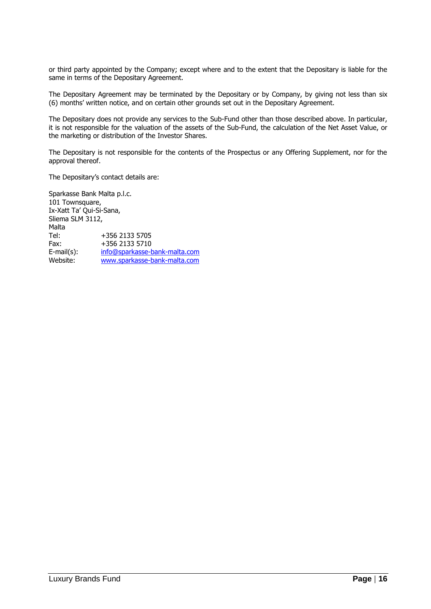or third party appointed by the Company; except where and to the extent that the Depositary is liable for the same in terms of the Depositary Agreement.

The Depositary Agreement may be terminated by the Depositary or by Company, by giving not less than six (6) months' written notice, and on certain other grounds set out in the Depositary Agreement.

The Depositary does not provide any services to the Sub-Fund other than those described above. In particular, it is not responsible for the valuation of the assets of the Sub-Fund, the calculation of the Net Asset Value, or the marketing or distribution of the Investor Shares.

The Depositary is not responsible for the contents of the Prospectus or any Offering Supplement, nor for the approval thereof.

The Depositary's contact details are:

Sparkasse Bank Malta p.l.c. 101 Townsquare, Ix-Xatt Ta' Qui-Si-Sana, Sliema SLM 3112, **Malta** Tel: +356 2133 5705 Fax: +356 2133 5710 E-mail(s): [info@sparkasse-bank-malta.com](mailto:info@sparkasse-bank-malta.com) Website: [www.sparkasse-bank-malta.com](http://www.sparkasse-bank-malta.com/)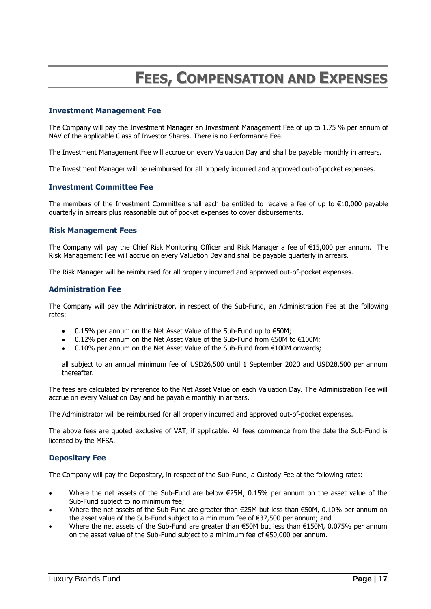### **FEES, COMPENSATION AND EXPENSES**

### <span id="page-17-0"></span>**Investment Management Fee**

The Company will pay the Investment Manager an Investment Management Fee of up to 1.75 % per annum of NAV of the applicable Class of Investor Shares. There is no Performance Fee.

The Investment Management Fee will accrue on every Valuation Day and shall be payable monthly in arrears.

The Investment Manager will be reimbursed for all properly incurred and approved out-of-pocket expenses.

#### **Investment Committee Fee**

The members of the Investment Committee shall each be entitled to receive a fee of up to €10,000 payable quarterly in arrears plus reasonable out of pocket expenses to cover disbursements.

#### **Risk Management Fees**

The Company will pay the Chief Risk Monitoring Officer and Risk Manager a fee of €15,000 per annum. The Risk Management Fee will accrue on every Valuation Day and shall be payable quarterly in arrears.

The Risk Manager will be reimbursed for all properly incurred and approved out-of-pocket expenses.

#### **Administration Fee**

The Company will pay the Administrator, in respect of the Sub-Fund, an Administration Fee at the following rates:

- $\bullet$  0.15% per annum on the Net Asset Value of the Sub-Fund up to  $\epsilon$ 50M;
- 0.12% per annum on the Net Asset Value of the Sub-Fund from €50M to €100M;
- 0.10% per annum on the Net Asset Value of the Sub-Fund from €100M onwards;

all subject to an annual minimum fee of USD26,500 until 1 September 2020 and USD28,500 per annum thereafter.

The fees are calculated by reference to the Net Asset Value on each Valuation Day. The Administration Fee will accrue on every Valuation Day and be payable monthly in arrears.

The Administrator will be reimbursed for all properly incurred and approved out-of-pocket expenses.

The above fees are quoted exclusive of VAT, if applicable. All fees commence from the date the Sub-Fund is licensed by the MFSA.

### **Depositary Fee**

The Company will pay the Depositary, in respect of the Sub-Fund, a Custody Fee at the following rates:

- Where the net assets of the Sub-Fund are below €25M, 0.15% per annum on the asset value of the Sub-Fund subject to no minimum fee;
- Where the net assets of the Sub-Fund are greater than €25M but less than €50M, 0.10% per annum on the asset value of the Sub-Fund subject to a minimum fee of €37,500 per annum; and
- Where the net assets of the Sub-Fund are greater than €50M but less than €150M, 0.075% per annum on the asset value of the Sub-Fund subject to a minimum fee of €50,000 per annum.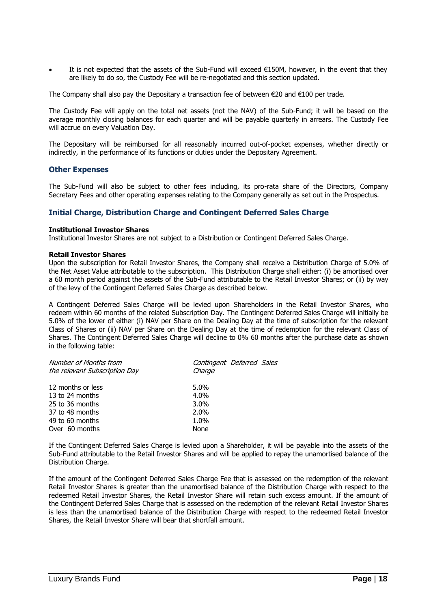It is not expected that the assets of the Sub-Fund will exceed €150M, however, in the event that they are likely to do so, the Custody Fee will be re-negotiated and this section updated.

The Company shall also pay the Depositary a transaction fee of between  $\epsilon$ 20 and  $\epsilon$ 100 per trade.

The Custody Fee will apply on the total net assets (not the NAV) of the Sub-Fund; it will be based on the average monthly closing balances for each quarter and will be payable quarterly in arrears. The Custody Fee will accrue on every Valuation Day.

The Depositary will be reimbursed for all reasonably incurred out-of-pocket expenses, whether directly or indirectly, in the performance of its functions or duties under the Depositary Agreement.

#### **Other Expenses**

The Sub-Fund will also be subject to other fees including, its pro-rata share of the Directors, Company Secretary Fees and other operating expenses relating to the Company generally as set out in the Prospectus.

### **Initial Charge, Distribution Charge and Contingent Deferred Sales Charge**

#### **Institutional Investor Shares**

Institutional Investor Shares are not subject to a Distribution or Contingent Deferred Sales Charge.

#### **Retail Investor Shares**

Upon the subscription for Retail Investor Shares, the Company shall receive a Distribution Charge of 5.0% of the Net Asset Value attributable to the subscription. This Distribution Charge shall either: (i) be amortised over a 60 month period against the assets of the Sub-Fund attributable to the Retail Investor Shares; or (ii) by way of the levy of the Contingent Deferred Sales Charge as described below.

A Contingent Deferred Sales Charge will be levied upon Shareholders in the Retail Investor Shares, who redeem within 60 months of the related Subscription Day. The Contingent Deferred Sales Charge will initially be 5.0% of the lower of either (i) NAV per Share on the Dealing Day at the time of subscription for the relevant Class of Shares or (ii) NAV per Share on the Dealing Day at the time of redemption for the relevant Class of Shares. The Contingent Deferred Sales Charge will decline to 0% 60 months after the purchase date as shown in the following table:

| Contingent Deferred Sales<br>Charge |
|-------------------------------------|
| $5.0\%$                             |
| $4.0\%$                             |
| $3.0\%$                             |
| $2.0\%$                             |
| 1.0%                                |
| None                                |
|                                     |

If the Contingent Deferred Sales Charge is levied upon a Shareholder, it will be payable into the assets of the Sub-Fund attributable to the Retail Investor Shares and will be applied to repay the unamortised balance of the Distribution Charge.

If the amount of the Contingent Deferred Sales Charge Fee that is assessed on the redemption of the relevant Retail Investor Shares is greater than the unamortised balance of the Distribution Charge with respect to the redeemed Retail Investor Shares, the Retail Investor Share will retain such excess amount. If the amount of the Contingent Deferred Sales Charge that is assessed on the redemption of the relevant Retail Investor Shares is less than the unamortised balance of the Distribution Charge with respect to the redeemed Retail Investor Shares, the Retail Investor Share will bear that shortfall amount.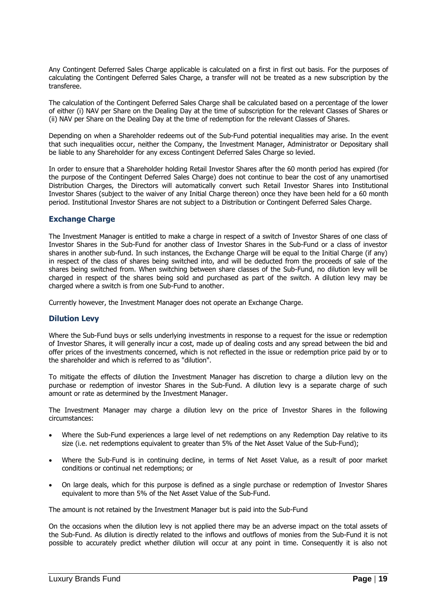Any Contingent Deferred Sales Charge applicable is calculated on a first in first out basis. For the purposes of calculating the Contingent Deferred Sales Charge, a transfer will not be treated as a new subscription by the transferee.

The calculation of the Contingent Deferred Sales Charge shall be calculated based on a percentage of the lower of either (i) NAV per Share on the Dealing Day at the time of subscription for the relevant Classes of Shares or (ii) NAV per Share on the Dealing Day at the time of redemption for the relevant Classes of Shares.

Depending on when a Shareholder redeems out of the Sub-Fund potential inequalities may arise. In the event that such inequalities occur, neither the Company, the Investment Manager, Administrator or Depositary shall be liable to any Shareholder for any excess Contingent Deferred Sales Charge so levied.

In order to ensure that a Shareholder holding Retail Investor Shares after the 60 month period has expired (for the purpose of the Contingent Deferred Sales Charge) does not continue to bear the cost of any unamortised Distribution Charges, the Directors will automatically convert such Retail Investor Shares into Institutional Investor Shares (subject to the waiver of any Initial Charge thereon) once they have been held for a 60 month period. Institutional Investor Shares are not subject to a Distribution or Contingent Deferred Sales Charge.

### **Exchange Charge**

The Investment Manager is entitled to make a charge in respect of a switch of Investor Shares of one class of Investor Shares in the Sub-Fund for another class of Investor Shares in the Sub-Fund or a class of investor shares in another sub-fund. In such instances, the Exchange Charge will be equal to the Initial Charge (if any) in respect of the class of shares being switched into, and will be deducted from the proceeds of sale of the shares being switched from. When switching between share classes of the Sub-Fund, no dilution levy will be charged in respect of the shares being sold and purchased as part of the switch. A dilution levy may be charged where a switch is from one Sub-Fund to another.

Currently however, the Investment Manager does not operate an Exchange Charge.

### **Dilution Levy**

Where the Sub-Fund buys or sells underlying investments in response to a request for the issue or redemption of Investor Shares, it will generally incur a cost, made up of dealing costs and any spread between the bid and offer prices of the investments concerned, which is not reflected in the issue or redemption price paid by or to the shareholder and which is referred to as "dilution".

To mitigate the effects of dilution the Investment Manager has discretion to charge a dilution levy on the purchase or redemption of investor Shares in the Sub-Fund. A dilution levy is a separate charge of such amount or rate as determined by the Investment Manager.

The Investment Manager may charge a dilution levy on the price of Investor Shares in the following circumstances:

- Where the Sub-Fund experiences a large level of net redemptions on any Redemption Day relative to its size (i.e. net redemptions equivalent to greater than 5% of the Net Asset Value of the Sub-Fund);
- Where the Sub-Fund is in continuing decline, in terms of Net Asset Value, as a result of poor market conditions or continual net redemptions; or
- On large deals, which for this purpose is defined as a single purchase or redemption of Investor Shares equivalent to more than 5% of the Net Asset Value of the Sub-Fund.

The amount is not retained by the Investment Manager but is paid into the Sub-Fund

On the occasions when the dilution levy is not applied there may be an adverse impact on the total assets of the Sub-Fund. As dilution is directly related to the inflows and outflows of monies from the Sub-Fund it is not possible to accurately predict whether dilution will occur at any point in time. Consequently it is also not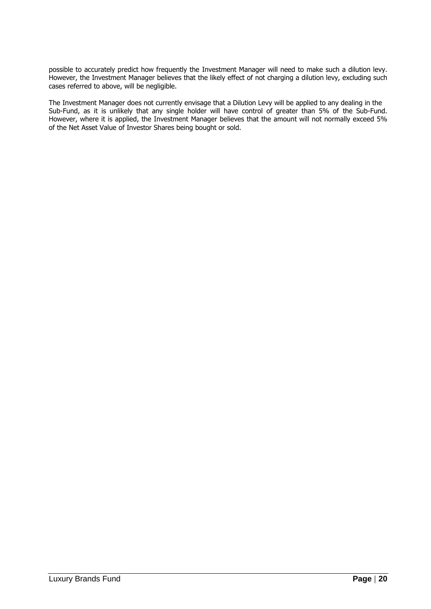possible to accurately predict how frequently the Investment Manager will need to make such a dilution levy. However, the Investment Manager believes that the likely effect of not charging a dilution levy, excluding such cases referred to above, will be negligible.

The Investment Manager does not currently envisage that a Dilution Levy will be applied to any dealing in the Sub-Fund, as it is unlikely that any single holder will have control of greater than 5% of the Sub-Fund. However, where it is applied, the Investment Manager believes that the amount will not normally exceed 5% of the Net Asset Value of Investor Shares being bought or sold.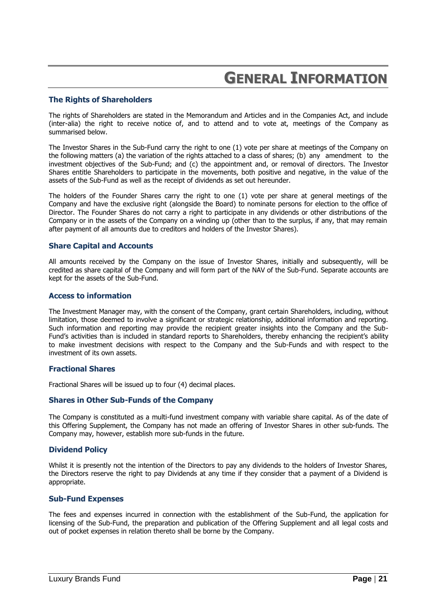### **GENERAL INFORMATION**

### <span id="page-21-0"></span>**The Rights of Shareholders**

The rights of Shareholders are stated in the Memorandum and Articles and in the Companies Act, and include (inter-alia) the right to receive notice of, and to attend and to vote at, meetings of the Company as summarised below.

The Investor Shares in the Sub-Fund carry the right to one (1) vote per share at meetings of the Company on the following matters (a) the variation of the rights attached to a class of shares; (b) any amendment to the investment objectives of the Sub-Fund; and (c) the appointment and, or removal of directors. The Investor Shares entitle Shareholders to participate in the movements, both positive and negative, in the value of the assets of the Sub-Fund as well as the receipt of dividends as set out hereunder.

The holders of the Founder Shares carry the right to one (1) vote per share at general meetings of the Company and have the exclusive right (alongside the Board) to nominate persons for election to the office of Director. The Founder Shares do not carry a right to participate in any dividends or other distributions of the Company or in the assets of the Company on a winding up (other than to the surplus, if any, that may remain after payment of all amounts due to creditors and holders of the Investor Shares).

#### **Share Capital and Accounts**

All amounts received by the Company on the issue of Investor Shares, initially and subsequently, will be credited as share capital of the Company and will form part of the NAV of the Sub-Fund. Separate accounts are kept for the assets of the Sub-Fund.

#### **Access to information**

The Investment Manager may, with the consent of the Company, grant certain Shareholders, including, without limitation, those deemed to involve a significant or strategic relationship, additional information and reporting. Such information and reporting may provide the recipient greater insights into the Company and the Sub-Fund's activities than is included in standard reports to Shareholders, thereby enhancing the recipient's ability to make investment decisions with respect to the Company and the Sub-Funds and with respect to the investment of its own assets.

### **Fractional Shares**

Fractional Shares will be issued up to four (4) decimal places.

### **Shares in Other Sub-Funds of the Company**

The Company is constituted as a multi-fund investment company with variable share capital. As of the date of this Offering Supplement, the Company has not made an offering of Investor Shares in other sub-funds. The Company may, however, establish more sub-funds in the future.

#### **Dividend Policy**

Whilst it is presently not the intention of the Directors to pay any dividends to the holders of Investor Shares, the Directors reserve the right to pay Dividends at any time if they consider that a payment of a Dividend is appropriate.

#### **Sub-Fund Expenses**

The fees and expenses incurred in connection with the establishment of the Sub-Fund, the application for licensing of the Sub-Fund, the preparation and publication of the Offering Supplement and all legal costs and out of pocket expenses in relation thereto shall be borne by the Company.